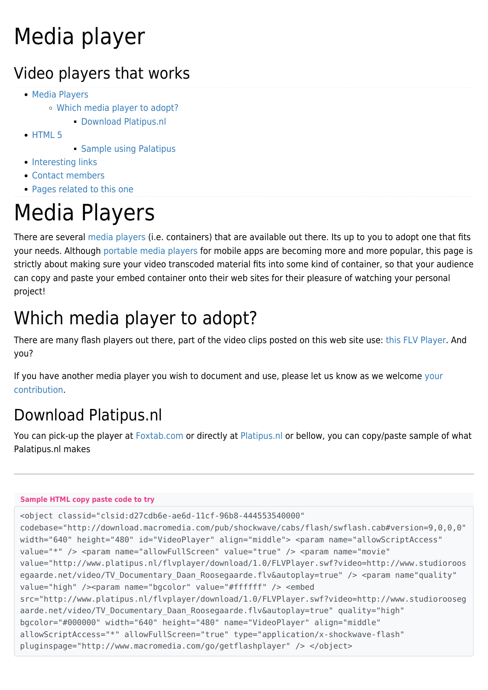# Media player

#### Video players that works

- [Media Players](#page--1-0)
	- [Which media player to adopt?](#page--1-0)
		- [Download Platipus.nl](#Download_Platipus.nl)
- $\bullet$  [HTML 5](#page--1-0)
- **[Sample using Palatipus](#page--1-0)**
- [Interesting links](#page--1-0)
- [Contact members](#page--1-0)
- [Pages related to this one](#page--1-0)

# Media Players

There are several [media players](http://en.wikipedia.org/wiki/Media_player_%28application_software%29) (i.e. containers) that are available out there. Its up to you to adopt one that fits your needs. Although [portable media players](http://en.wikipedia.org/wiki/Portable_media_player) for [mobile apps](https://tiki.org/tiki-editpage.php?page=mobile+apps) are becoming more and more popular, this page is strictly about making sure your video transcoded material fits into some kind of container, so that your audience can copy and paste your embed container onto their web sites for their pleasure of watching your personal project!

#### Which media player to adopt?

There are many flash players out there, part of the video clips posted on this web site use: [this FLV Player](http://code.google.com/p/flvplayer/). And you?

If you have another media player you wish to document and use, please let us know as we welcome [your](http://tv.tiki.org) [contribution](http://tv.tiki.org).

#### Download Platipus.nl

You can pick-up the player at [Foxtab.com](http://apps.foxtab.com/flvplayer/) or directly at [Platipus.nl](http://www.platipus.nl/flvplayer/download/1.0/index.php) or bellow, you can copy/paste sample of what Palatipus.nl makes

#### **Sample HTML copy paste code to try**

```
<object classid="clsid:d27cdb6e-ae6d-11cf-96b8-444553540000"
codebase="http://download.macromedia.com/pub/shockwave/cabs/flash/swflash.cab#version=9,0,0,0"
width="640" height="480" id="VideoPlayer" align="middle"> <param name="allowScriptAccess"
value="*" /> <param name="allowFullScreen" value="true" /> <param name="movie"
value="http://www.platipus.nl/flvplayer/download/1.0/FLVPlayer.swf?video=http://www.studioroos
egaarde.net/video/TV_Documentary_Daan_Roosegaarde.flv&autoplay=true" /> <param name"quality"
value="high" /><param name="bgcolor" value="#ffffff" /> <embed
src="http://www.platipus.nl/flvplayer/download/1.0/FLVPlayer.swf?video=http://www.studiorooseg
aarde.net/video/TV Documentary Daan Roosegaarde.flv&autoplay=true" quality="high"
bgcolor="#000000" width="640" height="480" name="VideoPlayer" align="middle"
allowScriptAccess="*" allowFullScreen="true" type="application/x-shockwave-flash"
pluginspage="http://www.macromedia.com/go/getflashplayer" /> </object>
```